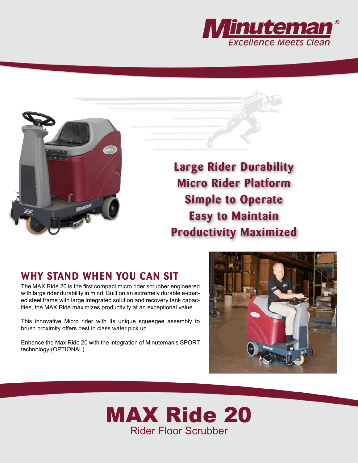



**Large Rider Durability Micro Rider Platform Simple to Operate Easy to Maintain Productivity Maximized**

## **WHY STAND WHEN YOU CAN SIT**

The MAX Ride 20 is the first compact micro rider scrubber engineered with large rider durability in mind. Built on an extremely durable e-coated steel frame with large integrated solution and recovery tank capacities, the MAX Ride maximizes productivity at an exceptional value.

This innovative Micro rider with its unique squeegee assembly to brush proximity offers best in class water pick up.

Enhance the Max Ride 20 with the integration of Minuteman's SPORT technology (OPTIONAL).